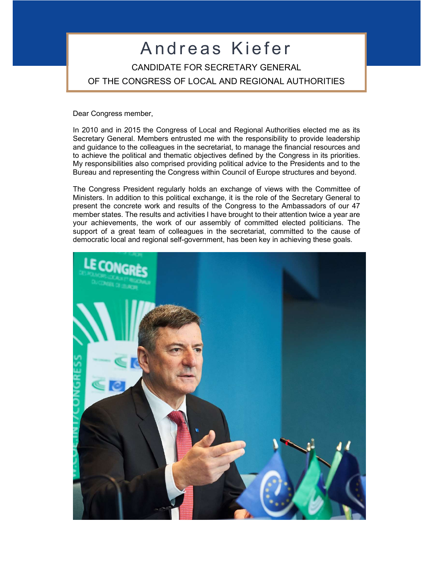## Andreas Kiefer CANDIDATE FOR SECRETARY GENERAL OF THE CONGRESS OF LOCAL AND REGIONAL AUTHORITIES

Dear Congress member,

In 2010 and in 2015 the Congress of Local and Regional Authorities elected me as its Secretary General. Members entrusted me with the responsibility to provide leadership and guidance to the colleagues in the secretariat, to manage the financial resources and to achieve the political and thematic objectives defined by the Congress in its priorities. My responsibilities also comprised providing political advice to the Presidents and to the Bureau and representing the Congress within Council of Europe structures and beyond.

The Congress President regularly holds an exchange of views with the Committee of Ministers. In addition to this political exchange, it is the role of the Secretary General to present the concrete work and results of the Congress to the Ambassadors of our 47 member states. The results and activities I have brought to their attention twice a year are your achievements, the work of our assembly of committed elected politicians. The support of a great team of colleagues in the secretariat, committed to the cause of democratic local and regional self-government, has been key in achieving these goals.

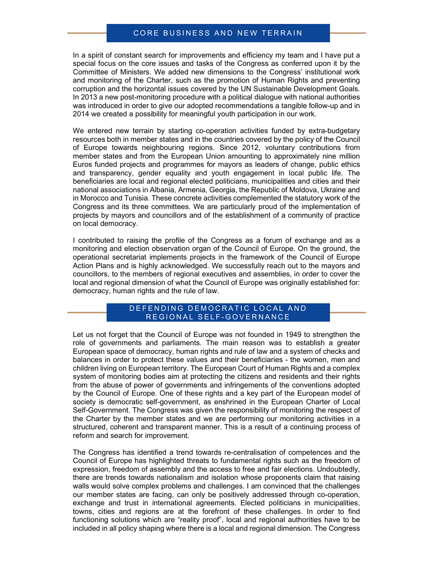### CORE BUSINESS AND NEW TERRAIN

In a spirit of constant search for improvements and efficiency my team and I have put a special focus on the core issues and tasks of the Congress as conferred upon it by the Committee of Ministers. We added new dimensions to the Congress' institutional work and monitoring of the Charter, such as the promotion of Human Rights and preventing corruption and the horizontal issues covered by the UN Sustainable Development Goals. In 2013 a new post-monitoring procedure with a political dialogue with national authorities was introduced in order to give our adopted recommendations a tangible follow-up and in 2014 we created a possibility for meaningful youth participation in our work.

We entered new terrain by starting co-operation activities funded by extra-budgetary resources both in member states and in the countries covered by the policy of the Council of Europe towards neighbouring regions. Since 2012, voluntary contributions from member states and from the European Union amounting to approximately nine million Euros funded projects and programmes for mayors as leaders of change, public ethics and transparency, gender equality and youth engagement in local public life. The beneficiaries are local and regional elected politicians, municipalities and cities and their national associations in Albania, Armenia, Georgia, the Republic of Moldova, Ukraine and in Morocco and Tunisia. These concrete activities complemented the statutory work of the Congress and its three committees. We are particularly proud of the implementation of projects by mayors and councillors and of the establishment of a community of practice on local democracy.

I contributed to raising the profile of the Congress as a forum of exchange and as a monitoring and election observation organ of the Council of Europe. On the ground, the operational secretariat implements projects in the framework of the Council of Europe Action Plans and is highly acknowledged. We successfully reach out to the mayors and councillors, to the members of regional executives and assemblies, in order to cover the local and regional dimension of what the Council of Europe was originally established for: democracy, human rights and the rule of law.

#### DEFENDING DEMOCRATIC LOCAL AND REGIONAL SELF-GOVERNANCE

Let us not forget that the Council of Europe was not founded in 1949 to strengthen the role of governments and parliaments. The main reason was to establish a greater European space of democracy, human rights and rule of law and a system of checks and balances in order to protect these values and their beneficiaries - the women, men and children living on European territory. The European Court of Human Rights and a complex system of monitoring bodies aim at protecting the citizens and residents and their rights from the abuse of power of governments and infringements of the conventions adopted by the Council of Europe. One of these rights and a key part of the European model of society is democratic self-government, as enshrined in the European Charter of Local Self-Government. The Congress was given the responsibility of monitoring the respect of the Charter by the member states and we are performing our monitoring activities in a structured, coherent and transparent manner. This is a result of a continuing process of reform and search for improvement.

The Congress has identified a trend towards re-centralisation of competences and the Council of Europe has highlighted threats to fundamental rights such as the freedom of expression, freedom of assembly and the access to free and fair elections. Undoubtedly, there are trends towards nationalism and isolation whose proponents claim that raising walls would solve complex problems and challenges. I am convinced that the challenges our member states are facing, can only be positively addressed through co-operation, exchange and trust in international agreements. Elected politicians in municipalities, towns, cities and regions are at the forefront of these challenges. In order to find functioning solutions which are "reality proof", local and regional authorities have to be included in all policy shaping where there is a local and regional dimension. The Congress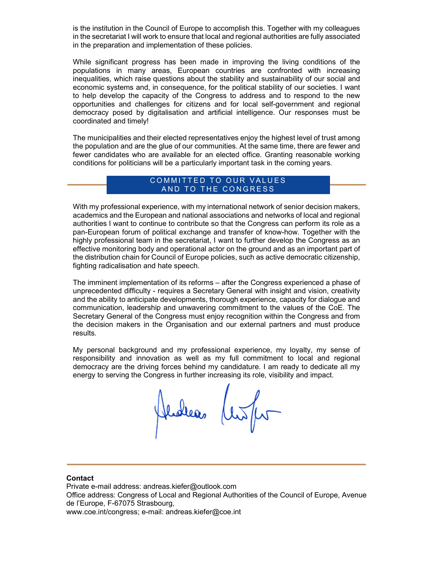is the institution in the Council of Europe to accomplish this. Together with my colleagues in the secretariat I will work to ensure that local and regional authorities are fully associated in the preparation and implementation of these policies.

While significant progress has been made in improving the living conditions of the populations in many areas, European countries are confronted with increasing inequalities, which raise questions about the stability and sustainability of our social and economic systems and, in consequence, for the political stability of our societies. I want to help develop the capacity of the Congress to address and to respond to the new opportunities and challenges for citizens and for local self-government and regional democracy posed by digitalisation and artificial intelligence. Our responses must be coordinated and timely!

The municipalities and their elected representatives enjoy the highest level of trust among the population and are the glue of our communities. At the same time, there are fewer and fewer candidates who are available for an elected office. Granting reasonable working conditions for politicians will be a particularly important task in the coming years.

### COMMITTED TO OUR VALUES AND TO THE CONGRESS

With my professional experience, with my international network of senior decision makers, academics and the European and national associations and networks of local and regional authorities I want to continue to contribute so that the Congress can perform its role as a pan-European forum of political exchange and transfer of know-how. Together with the highly professional team in the secretariat, I want to further develop the Congress as an effective monitoring body and operational actor on the ground and as an important part of the distribution chain for Council of Europe policies, such as active democratic citizenship, fighting radicalisation and hate speech.

The imminent implementation of its reforms – after the Congress experienced a phase of unprecedented difficulty - requires a Secretary General with insight and vision, creativity and the ability to anticipate developments, thorough experience, capacity for dialogue and communication, leadership and unwavering commitment to the values of the CoE. The Secretary General of the Congress must enjoy recognition within the Congress and from the decision makers in the Organisation and our external partners and must produce results.

My personal background and my professional experience, my loyalty, my sense of responsibility and innovation as well as my full commitment to local and regional democracy are the driving forces behind my candidature. I am ready to dedicate all my energy to serving the Congress in further increasing its role, visibility and impact.

Jedea (en for

#### **Contact**

Private e-mail address: andreas.kiefer@outlook.com Office address: Congress of Local and Regional Authorities of the Council of Europe, Avenue de l'Europe, F-67075 Strasbourg, www.coe.int/congress; e-mail: andreas.kiefer@coe.int